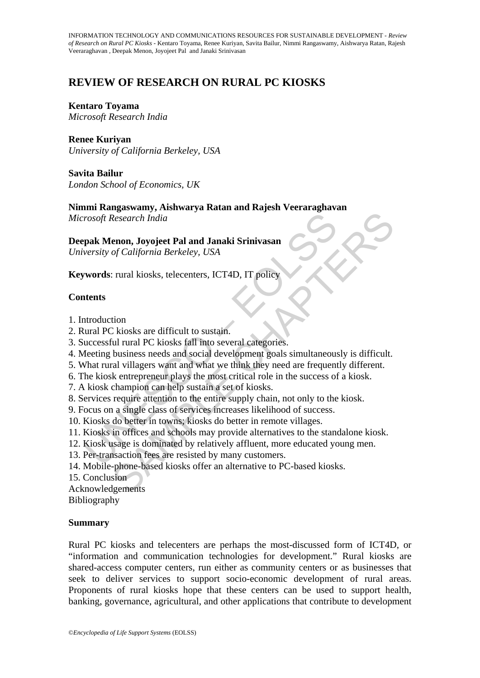# **REVIEW OF RESEARCH ON RURAL PC KIOSKS**

**Kentaro Toyama**  *Microsoft Research India* 

**Renee Kuriyan**  *University of California Berkeley, USA* 

**Savita Bailur**  *London School of Economics, UK*

**Nimmi Rangaswamy, Aishwarya Ratan and Rajesh Veeraraghavan**

*Microsoft Research India* 

rosoft Research India<br>
pak Menon, Joyojeet Pal and Janaki Srinivasan<br>
pak Menon, Joyojeet Pal and Janaki Srinivasan<br>
versity of California Berkeley, USA<br>
words: rural kiosks, telecenters, ICT4D, IT policy<br>
utents<br>
tents<br>
t **Deepak Menon, Joyojeet Pal and Janaki Srinivasan**

*University of California Berkeley, USA* 

**Keywords**: rural kiosks, telecenters, ICT4D, IT policy

## **Contents**

- 1. Introduction
- 2. Rural PC kiosks are difficult to sustain.
- 3. Successful rural PC kiosks fall into several categories.
- Research India<br>
enon, Joyojeet Pal and Janaki Srinivasan<br>
of California Berkeley, USA<br>
: rural kiosks, telecenters, ICT4D, IT policy<br>
: kiosks are difficult to sustain.<br>
di rural PC kiosks fall into several categories.<br>
bu 4. Meeting business needs and social development goals simultaneously is difficult.
- 5. What rural villagers want and what we think they need are frequently different.
- 6. The kiosk entrepreneur plays the most critical role in the success of a kiosk.
- 7. A kiosk champion can help sustain a set of kiosks.
- 8. Services require attention to the entire supply chain, not only to the kiosk.
- 9. Focus on a single class of services increases likelihood of success.
- 10. Kiosks do better in towns; kiosks do better in remote villages.
- 11. Kiosks in offices and schools may provide alternatives to the standalone kiosk.
- 12. Kiosk usage is dominated by relatively affluent, more educated young men.
- 13. Per-transaction fees are resisted by many customers.
- 14. Mobile-phone-based kiosks offer an alternative to PC-based kiosks.
- 15. Conclusion

Acknowledgements

Bibliography

## **Summary**

Rural PC kiosks and telecenters are perhaps the most-discussed form of ICT4D, or "information and communication technologies for development." Rural kiosks are shared-access computer centers, run either as community centers or as businesses that seek to deliver services to support socio-economic development of rural areas. Proponents of rural kiosks hope that these centers can be used to support health, banking, governance, agricultural, and other applications that contribute to development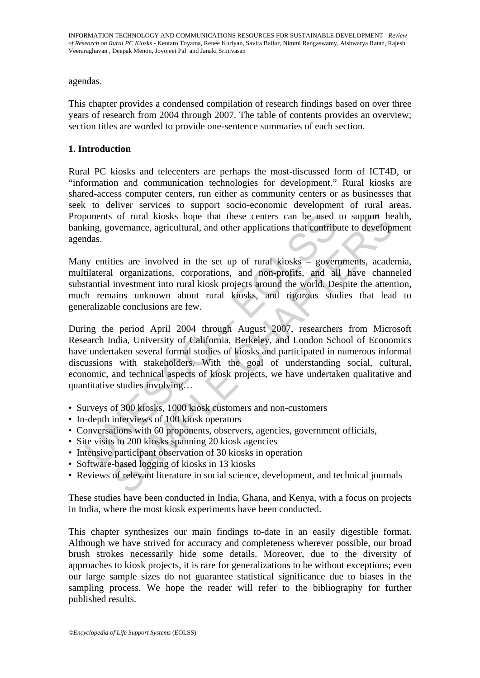agendas.

This chapter provides a condensed compilation of research findings based on over three years of research from 2004 through 2007. The table of contents provides an overview; section titles are worded to provide one-sentence summaries of each section.

#### **1. Introduction**

Rural PC kiosks and telecenters are perhaps the most-discussed form of ICT4D, or "information and communication technologies for development." Rural kiosks are shared-access computer centers, run either as community centers or as businesses that seek to deliver services to support socio-economic development of rural areas. Proponents of rural kiosks hope that these centers can be used to support health, banking, governance, agricultural, and other applications that contribute to development agendas.

Many entities are involved in the set up of rural kiosks – governments, academia, multilateral organizations, corporations, and non-profits, and all have channeled substantial investment into rural kiosk projects around the world. Despite the attention, much remains unknown about rural kiosks, and rigorous studies that lead to generalizable conclusions are few.

bonents of rural kiosks hope that these centers can be used<br>king, governance, agricultural, and other applications that contributed<br>das.<br>y entities are involved in the set up of rural kiosks – gover<br>tilateral organizations of rural kiosks hope that these centers can be used to support he<br>overnance, agricultural, and other applications that contribute to develop<br>ties are involved in the set up of rural kiosks – governments, acade<br>I organizati During the period April 2004 through August 2007, researchers from Microsoft Research India, University of California, Berkeley, and London School of Economics have undertaken several formal studies of kiosks and participated in numerous informal discussions with stakeholders. With the goal of understanding social, cultural, economic, and technical aspects of kiosk projects, we have undertaken qualitative and quantitative studies involving…

- Surveys of 300 kiosks, 1000 kiosk customers and non-customers
- In-depth interviews of 100 kiosk operators
- Conversations with 60 proponents, observers, agencies, government officials,
- Site visits to 200 kiosks spanning 20 kiosk agencies
- Intensive participant observation of 30 kiosks in operation
- Software-based logging of kiosks in 13 kiosks
- Reviews of relevant literature in social science, development, and technical journals

These studies have been conducted in India, Ghana, and Kenya, with a focus on projects in India, where the most kiosk experiments have been conducted.

This chapter synthesizes our main findings to-date in an easily digestible format. Although we have strived for accuracy and completeness wherever possible, our broad brush strokes necessarily hide some details. Moreover, due to the diversity of approaches to kiosk projects, it is rare for generalizations to be without exceptions; even our large sample sizes do not guarantee statistical significance due to biases in the sampling process. We hope the reader will refer to the bibliography for further published results.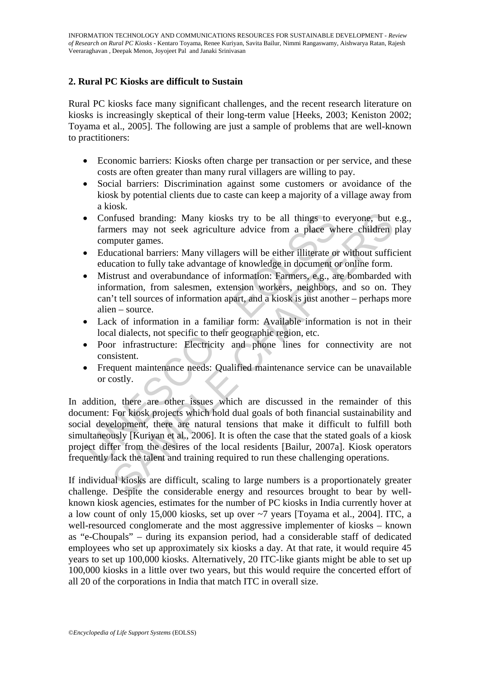## **2. Rural PC Kiosks are difficult to Sustain**

Rural PC kiosks face many significant challenges, and the recent research literature on kiosks is increasingly skeptical of their long-term value [Heeks, 2003; Keniston 2002; Toyama et al., 2005]. The following are just a sample of problems that are well-known to practitioners:

- Economic barriers: Kiosks often charge per transaction or per service, and these costs are often greater than many rural villagers are willing to pay.
- Social barriers: Discrimination against some customers or avoidance of the kiosk by potential clients due to caste can keep a majority of a village away from a kiosk.
- Confused branding: Many kiosks try to be all things to everyone, but e.g., farmers may not seek agriculture advice from a place where children play computer games.
- Educational barriers: Many villagers will be either illiterate or without sufficient education to fully take advantage of knowledge in document or online form.
- Mistrust and overabundance of information: Farmers, e.g., are bombarded with information, from salesmen, extension workers, neighbors, and so on. They can't tell sources of information apart, and a kiosk is just another – perhaps more alien – source.
- Lack of information in a familiar form: Available information is not in their local dialects, not specific to their geographic region, etc.
- Poor infrastructure: Electricity and phone lines for connectivity are not consistent.
- Frequent maintenance needs: Qualified maintenance service can be unavailable or costly.

Confused branding: Many kiosks try to be all things to e<br>farmers may not seek agriculture advice from a place will<br>computer games.<br>
Educational barriers: Many villagers will be either illiterate of<br>
education to fully take Thus the branding: Many kiosks try to be all things to everyone, but<br>ners may not seek agriculture advice from a place where children<br>puter games.<br>Cardional barriers: Many villagers will be either illiterate or without suf In addition, there are other issues which are discussed in the remainder of this document: For kiosk projects which hold dual goals of both financial sustainability and social development, there are natural tensions that make it difficult to fulfill both simultaneously [Kuriyan et al., 2006]. It is often the case that the stated goals of a kiosk project differ from the desires of the local residents [Bailur, 2007a]. Kiosk operators frequently lack the talent and training required to run these challenging operations.

If individual kiosks are difficult, scaling to large numbers is a proportionately greater challenge. Despite the considerable energy and resources brought to bear by wellknown kiosk agencies, estimates for the number of PC kiosks in India currently hover at a low count of only 15,000 kiosks, set up over ~7 years [Toyama et al., 2004]. ITC, a well-resourced conglomerate and the most aggressive implementer of kiosks – known as "e-Choupals" – during its expansion period, had a considerable staff of dedicated employees who set up approximately six kiosks a day. At that rate, it would require 45 years to set up 100,000 kiosks. Alternatively, 20 ITC-like giants might be able to set up 100,000 kiosks in a little over two years, but this would require the concerted effort of all 20 of the corporations in India that match ITC in overall size.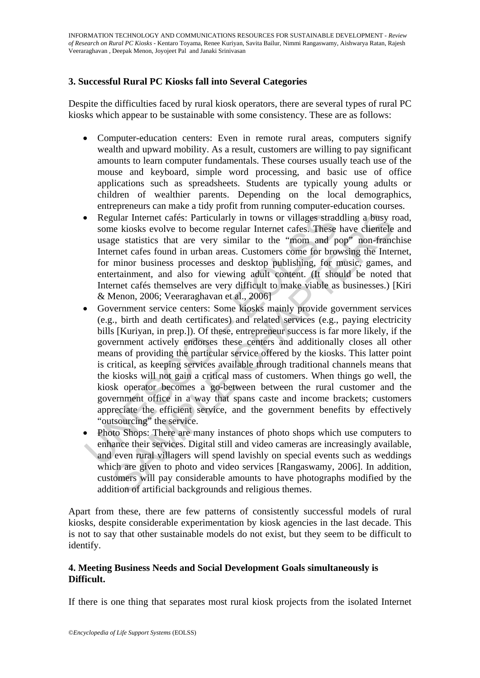## **3. Successful Rural PC Kiosks fall into Several Categories**

Despite the difficulties faced by rural kiosk operators, there are several types of rural PC kiosks which appear to be sustainable with some consistency. These are as follows:

- Computer-education centers: Even in remote rural areas, computers signify wealth and upward mobility. As a result, customers are willing to pay significant amounts to learn computer fundamentals. These courses usually teach use of the mouse and keyboard, simple word processing, and basic use of office applications such as spreadsheets. Students are typically young adults or children of wealthier parents. Depending on the local demographics, entrepreneurs can make a tidy profit from running computer-education courses.
- Regular Internet cafés: Particularly in towns or villages straddling a busy road, some kiosks evolve to become regular Internet cafes. These have clientele and usage statistics that are very similar to the "mom and pop" non-franchise Internet cafes found in urban areas. Customers come for browsing the Internet, for minor business processes and desktop publishing, for music, games, and entertainment, and also for viewing adult content. (It should be noted that Internet cafés themselves are very difficult to make viable as businesses.) [Kiri & Menon, 2006; Veeraraghavan et al., 2006]
- Regular Internet cafés: Particularly in towns or villages strad<br>some kiosks evolve to become regular Internet cafes. These<br>usage statistics that are very similar to the "mom and p<br>Internet cafes found in urban areas. Cus gular Internet cafés: Particularly in towns or villages straddling a busy re kiosks evolve to become regular Internet cafes. These have clientele ge statistics that are very similar to the "mon and pop" non-frame met cafes Government service centers: Some kiosks mainly provide government services (e.g., birth and death certificates) and related services (e.g., paying electricity bills [Kuriyan, in prep.]). Of these, entrepreneur success is far more likely, if the government actively endorses these centers and additionally closes all other means of providing the particular service offered by the kiosks. This latter point is critical, as keeping services available through traditional channels means that the kiosks will not gain a critical mass of customers. When things go well, the kiosk operator becomes a go-between between the rural customer and the government office in a way that spans caste and income brackets; customers appreciate the efficient service, and the government benefits by effectively "outsourcing" the service.
- Photo Shops: There are many instances of photo shops which use computers to enhance their services. Digital still and video cameras are increasingly available, and even rural villagers will spend lavishly on special events such as weddings which are given to photo and video services [Rangaswamy, 2006]. In addition, customers will pay considerable amounts to have photographs modified by the addition of artificial backgrounds and religious themes.

Apart from these, there are few patterns of consistently successful models of rural kiosks, despite considerable experimentation by kiosk agencies in the last decade. This is not to say that other sustainable models do not exist, but they seem to be difficult to identify.

#### **4. Meeting Business Needs and Social Development Goals simultaneously is Difficult.**

If there is one thing that separates most rural kiosk projects from the isolated Internet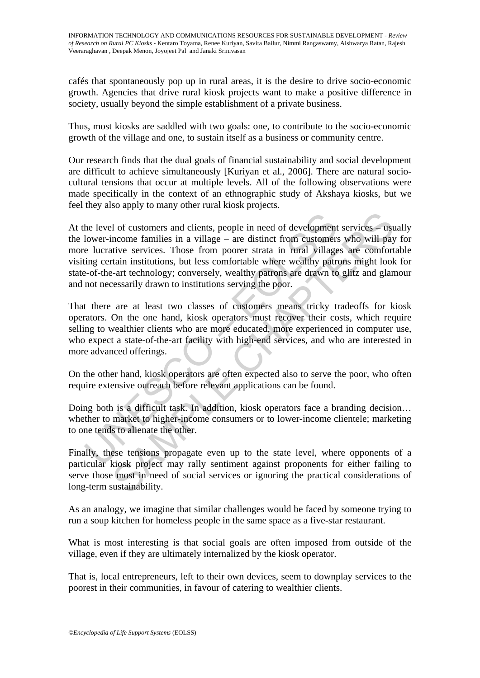cafés that spontaneously pop up in rural areas, it is the desire to drive socio-economic growth. Agencies that drive rural kiosk projects want to make a positive difference in society, usually beyond the simple establishment of a private business.

Thus, most kiosks are saddled with two goals: one, to contribute to the socio-economic growth of the village and one, to sustain itself as a business or community centre.

Our research finds that the dual goals of financial sustainability and social development are difficult to achieve simultaneously [Kuriyan et al., 2006]. There are natural sociocultural tensions that occur at multiple levels. All of the following observations were made specifically in the context of an ethnographic study of Akshaya kiosks, but we feel they also apply to many other rural kiosk projects.

the level of customers and clients, people in need of development<br>lower-income families in a village – are distinct from customere<br>e lucrative services. Those from poorer strata in rural village<br>ing certain institutions, b and clients, people in need of development services – usincome families in a village – are distinct from customers who will pay that it is services. Those from poorer strata in rural villages are comfort train institutions At the level of customers and clients, people in need of development services – usually the lower-income families in a village – are distinct from customers who will pay for more lucrative services. Those from poorer strata in rural villages are comfortable visiting certain institutions, but less comfortable where wealthy patrons might look for state-of-the-art technology; conversely, wealthy patrons are drawn to glitz and glamour and not necessarily drawn to institutions serving the poor.

That there are at least two classes of customers means tricky tradeoffs for kiosk operators. On the one hand, kiosk operators must recover their costs, which require selling to wealthier clients who are more educated, more experienced in computer use, who expect a state-of-the-art facility with high-end services, and who are interested in more advanced offerings.

On the other hand, kiosk operators are often expected also to serve the poor, who often require extensive outreach before relevant applications can be found.

Doing both is a difficult task. In addition, kiosk operators face a branding decision… whether to market to higher-income consumers or to lower-income clientele; marketing to one tends to alienate the other.

Finally, these tensions propagate even up to the state level, where opponents of a particular kiosk project may rally sentiment against proponents for either failing to serve those most in need of social services or ignoring the practical considerations of long-term sustainability.

As an analogy, we imagine that similar challenges would be faced by someone trying to run a soup kitchen for homeless people in the same space as a five-star restaurant.

What is most interesting is that social goals are often imposed from outside of the village, even if they are ultimately internalized by the kiosk operator.

That is, local entrepreneurs, left to their own devices, seem to downplay services to the poorest in their communities, in favour of catering to wealthier clients.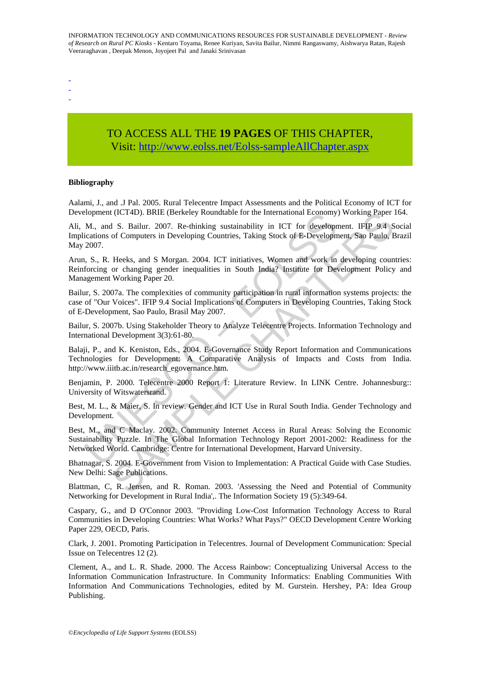- -
- -

# TO ACCESS ALL THE **19 PAGES** OF THIS CHAPTER, Visit: [http://www.eolss.net/Eolss-sampleAllChapter.aspx](https://www.eolss.net/ebooklib/sc_cart.aspx?File=E1-25-02-04)

#### **Bibliography**

Aalami, J., and .J Pal. 2005. Rural Telecentre Impact Assessments and the Political Economy of ICT for Development (ICT4D). BRIE (Berkeley Roundtable for the International Economy) Working Paper 164.

Ali, M., and S. Bailur. 2007. Re-thinking sustainability in ICT for development. IFIP 9.4 Social Implications of Computers in Developing Countries, Taking Stock of E-Development, Sao Paulo, Brazil May 2007.

Arun, S., R. Heeks, and S Morgan. 2004. ICT initiatives, Women and work in developing countries: Reinforcing or changing gender inequalities in South India? Institute for Development Policy and Management Working Paper 20.

Bailur, S. 2007a. The complexities of community participation in rural information systems projects: the case of "Our Voices". IFIP 9.4 Social Implications of Computers in Developing Countries, Taking Stock of E-Development, Sao Paulo, Brasil May 2007.

Bailur, S. 2007b. Using Stakeholder Theory to Analyze Telecentre Projects. Information Technology and International Development 3(3):61-80.

Experiment (IC14D). BKIE (Berkeley Koundtable for the International Economy M., and S. Bailur. 2007. Re-thinking sustainability in ICT for developm<br>iciations of Computers in Developing Countries, Taking Stock of E-Developm 1 (ICT4D). BRIE (Berkeley Roundtable for the International Economy) Working Paper<br>
1 S. Bailur. 2007. Re-thinking sustainability in ICT for development. IFIP 9.4 S<br>
of Computers in Developing Countries, Taking Stock of E-D Balaji, P., and K. Keniston, Eds., 2004. E-Governance Study Report Information and Communications Technologies for Development: A Comparative Analysis of Impacts and Costs from India. http://www.iiitb.ac.in/research\_egovernance.htm.

Benjamin, P. 2000. Telecentre 2000 Report 1: Literature Review. In LINK Centre. Johannesburg:: University of Witswatersrand.

Best, M. L., & Maier, S. In review. Gender and ICT Use in Rural South India. Gender Technology and Development.

Best, M., and C Maclay. 2002. Community Internet Access in Rural Areas: Solving the Economic Sustainability Puzzle. In The Global Information Technology Report 2001-2002: Readiness for the Networked World. Cambridge: Centre for International Development, Harvard University.

Bhatnagar, S. 2004. E-Government from Vision to Implementation: A Practical Guide with Case Studies. New Delhi: Sage Publications.

Blattman, C, R. Jensen, and R. Roman. 2003. 'Assessing the Need and Potential of Community Networking for Development in Rural India',. The Information Society 19 (5):349-64.

Caspary, G., and D O'Connor 2003. "Providing Low-Cost Information Technology Access to Rural Communities in Developing Countries: What Works? What Pays?" OECD Development Centre Working Paper 229, OECD, Paris.

Clark, J. 2001. Promoting Participation in Telecentres. Journal of Development Communication: Special Issue on Telecentres 12 (2).

Clement, A., and L. R. Shade. 2000. The Access Rainbow: Conceptualizing Universal Access to the Information Communication Infrastructure. In Community Informatics: Enabling Communities With Information And Communications Technologies, edited by M. Gurstein. Hershey, PA: Idea Group Publishing.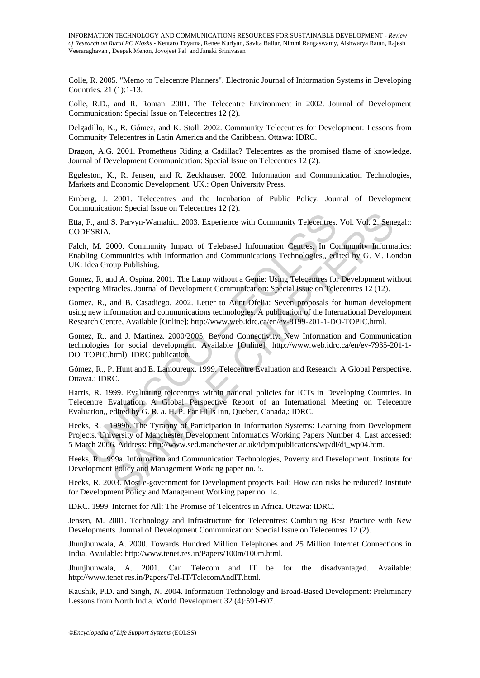Colle, R. 2005. "Memo to Telecentre Planners". Electronic Journal of Information Systems in Developing Countries. 21 (1):1-13.

Colle, R.D., and R. Roman. 2001. The Telecentre Environment in 2002. Journal of Development Communication: Special Issue on Telecentres 12 (2).

Delgadillo, K., R. Gómez, and K. Stoll. 2002. Community Telecentres for Development: Lessons from Community Telecentres in Latin America and the Caribbean. Ottawa: IDRC.

Dragon, A.G. 2001. Prometheus Riding a Cadillac? Telecentres as the promised flame of knowledge. Journal of Development Communication: Special Issue on Telecentres 12 (2).

Eggleston, K., R. Jensen, and R. Zeckhauser. 2002. Information and Communication Technologies, Markets and Economic Development. UK.: Open University Press.

Ernberg, J. 2001. Telecentres and the Incubation of Public Policy. Journal of Development Communication: Special Issue on Telecentres 12 (2).

Etta, F., and S. Parvyn-Wamahiu. 2003. Experience with Community Telecentres. Vol. Vol. 2. Senegal:: CODESRIA.

Falch, M. 2000. Community Impact of Telebased Information Centres, In Community Informatics: Enabling Communities with Information and Communications Technologies,, edited by G. M. London UK: Idea Group Publishing.

Gomez, R, and A. Ospina. 2001. The Lamp without a Genie: Using Telecentres for Development without expecting Miracles. Journal of Development Communication: Special Issue on Telecentres 12 (12).

Gomez, R., and B. Casadiego. 2002. Letter to Aunt Ofelia: Seven proposals for human development using new information and communications technologies. A publication of the International Development Research Centre, Available [Online]: http://www.web.idrc.ca/en/ev-8199-201-1-DO-TOPIC.html.

F., and S. Parvyn-Wamahiu. 2003. Experience with Community Telecentres.<br>
DESRIA.<br>
1, M. 2000. Community Impact of Telebased Information Centres, In Co<br>
1, M. 2000. Community Impact of Telebased Information Centres, In Co<br> S. Parvyn-Wamahiu. 2003. Experience with Community Telecentres. Vol. Vol. 2. Sene<br>
S. Parvyn-Wamahiu. 2003. Experience with Community Telecentres. Vol. Vol. 2. Sene<br>
2000. Community Impact of Telebased Information Centres. Gomez, R., and J. Martinez. 2000/2005. Beyond Connectivity: New Information and Communication technologies for social development, Available [Online]: http://www.web.idrc.ca/en/ev-7935-201-1- DO\_TOPIC.html). IDRC publication.

Gómez, R., P. Hunt and E. Lamoureux. 1999. Telecentre Evaluation and Research: A Global Perspective. Ottawa.: IDRC.

Harris, R. 1999. Evaluating telecentres within national policies for ICTs in Developing Countries. In Telecentre Evaluation: A Global Perspective Report of an International Meeting on Telecentre Evaluation,, edited by G. R. a. H. P. Far Hills Inn, Quebec, Canada,: IDRC.

Heeks, R. . 1999b. The Tyranny of Participation in Information Systems: Learning from Development Projects. University of Manchester Development Informatics Working Papers Number 4. Last accessed: 5 March 2006. Address: http://www.sed.manchester.ac.uk/idpm/publications/wp/di/di\_wp04.htm.

Heeks, R. 1999a. Information and Communication Technologies, Poverty and Development. Institute for Development Policy and Management Working paper no. 5.

Heeks, R. 2003. Most e-government for Development projects Fail: How can risks be reduced? Institute for Development Policy and Management Working paper no. 14.

IDRC. 1999. Internet for All: The Promise of Telcentres in Africa. Ottawa: IDRC.

Jensen, M. 2001. Technology and Infrastructure for Telecentres: Combining Best Practice with New Developments. Journal of Development Communication: Special Issue on Telecentres 12 (2).

Jhunjhunwala, A. 2000. Towards Hundred Million Telephones and 25 Million Internet Connections in India. Available: http://www.tenet.res.in/Papers/100m/100m.html.

Jhunjhunwala, A. 2001. Can Telecom and IT be for the disadvantaged. Available: http://www.tenet.res.in/Papers/Tel-IT/TelecomAndIT.html.

Kaushik, P.D. and Singh, N. 2004. Information Technology and Broad-Based Development: Preliminary Lessons from North India. World Development 32 (4):591-607.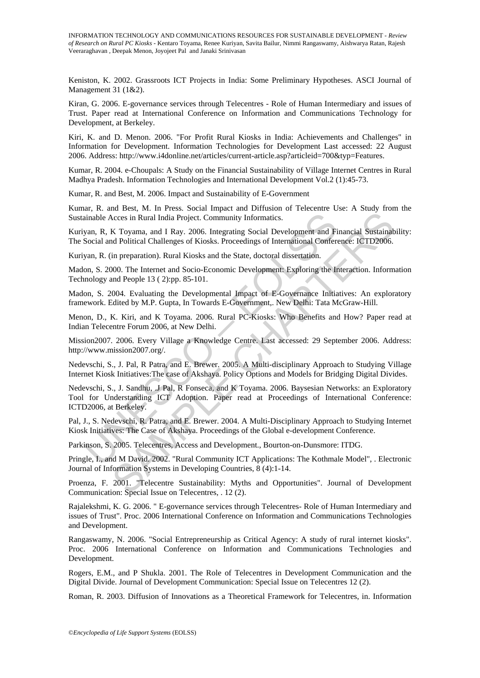Keniston, K. 2002. Grassroots ICT Projects in India: Some Preliminary Hypotheses. ASCI Journal of Management 31 (1&2).

Kiran, G. 2006. E-governance services through Telecentres - Role of Human Intermediary and issues of Trust. Paper read at International Conference on Information and Communications Technology for Development, at Berkeley.

Kiri, K. and D. Menon. 2006. "For Profit Rural Kiosks in India: Achievements and Challenges" in Information for Development. Information Technologies for Development Last accessed: 22 August 2006. Address: http://www.i4donline.net/articles/current-article.asp?articleid=700&typ=Features.

Kumar, R. 2004. e-Choupals: A Study on the Financial Sustainability of Village Internet Centres in Rural Madhya Pradesh. Information Technologies and International Development Vol.2 (1):45-73.

Kumar, R. and Best, M. 2006. Impact and Sustainability of E-Government

Kumar, R. and Best, M. In Press. Social Impact and Diffusion of Telecentre Use: A Study from the Sustainable Acces in Rural India Project. Community Informatics.

Kuriyan, R, K Toyama, and I Ray. 2006. Integrating Social Development and Financial Sustainability: The Social and Political Challenges of Kiosks. Proceedings of International Conference: ICTD2006.

Kuriyan, R. (in preparation). Rural Kiosks and the State, doctoral dissertation.

Madon, S. 2000. The Internet and Socio-Economic Development: Exploring the Interaction. Information Technology and People 13 ( 2):pp. 85-101.

Madon, S. 2004. Evaluating the Developmental Impact of E-Governance Initiatives: An exploratory framework. Edited by M.P. Gupta, In Towards E-Government,. New Delhi: Tata McGraw-Hill.

Menon, D., K. Kiri, and K Toyama. 2006. Rural PC-Kiosks: Who Benefits and How? Paper read at Indian Telecentre Forum 2006, at New Delhi.

Mission2007. 2006. Every Village a Knowledge Centre. Last accessed: 29 September 2006. Address: http://www.mission2007.org/.

Nedevschi, S., J. Pal, R Patra, and E. Brewer. 2005. A Multi-disciplinary Approach to Studying Village Internet Kiosk Initiatives:The case of Akshaya. Policy Options and Models for Bridging Digital Divides.

inable Acces in Rural India Project. Community Informatics.<br>
yan, R, K Toyama, and I Ray. 2006. Integrating Social Development and Fi<br>
Social and Political Challenges of Kiosks. Proceedings of International Confer<br>
yan, R. Exercis in Rural India Project. Community Informatics.<br>
K Toyama, and I Ray. 2006. Integrating Social Development and Financial Sustainable Political Challenges of Kiosks. Proceedings of International Conference: ICTD2006. Nedevschi, S., J. Sandhu, .J Pal, R Fonseca, and K Toyama. 2006. Baysesian Networks: an Exploratory Tool for Understanding ICT Adoption. Paper read at Proceedings of International Conference: ICTD2006, at Berkeley.

Pal, J., S. Nedevschi, R. Patra, and E. Brewer. 2004. A Multi-Disciplinary Approach to Studying Internet Kiosk Initiatives: The Case of Akshaya. Proceedings of the Global e-development Conference.

Parkinson, S. 2005. Telecentres, Access and Development., Bourton-on-Dunsmore: ITDG.

Pringle, I., and M David. 2002. "Rural Community ICT Applications: The Kothmale Model", . Electronic Journal of Information Systems in Developing Countries, 8 (4):1-14.

Proenza, F. 2001. "Telecentre Sustainability: Myths and Opportunities". Journal of Development Communication: Special Issue on Telecentres, . 12 (2).

Rajalekshmi, K. G. 2006. " E-governance services through Telecentres- Role of Human Intermediary and issues of Trust". Proc. 2006 International Conference on Information and Communications Technologies and Development.

Rangaswamy, N. 2006. "Social Entrepreneurship as Critical Agency: A study of rural internet kiosks". Proc. 2006 International Conference on Information and Communications Technologies and Development.

Rogers, E.M., and P Shukla. 2001. The Role of Telecentres in Development Communication and the Digital Divide. Journal of Development Communication: Special Issue on Telecentres 12 (2).

Roman, R. 2003. Diffusion of Innovations as a Theoretical Framework for Telecentres, in. Information